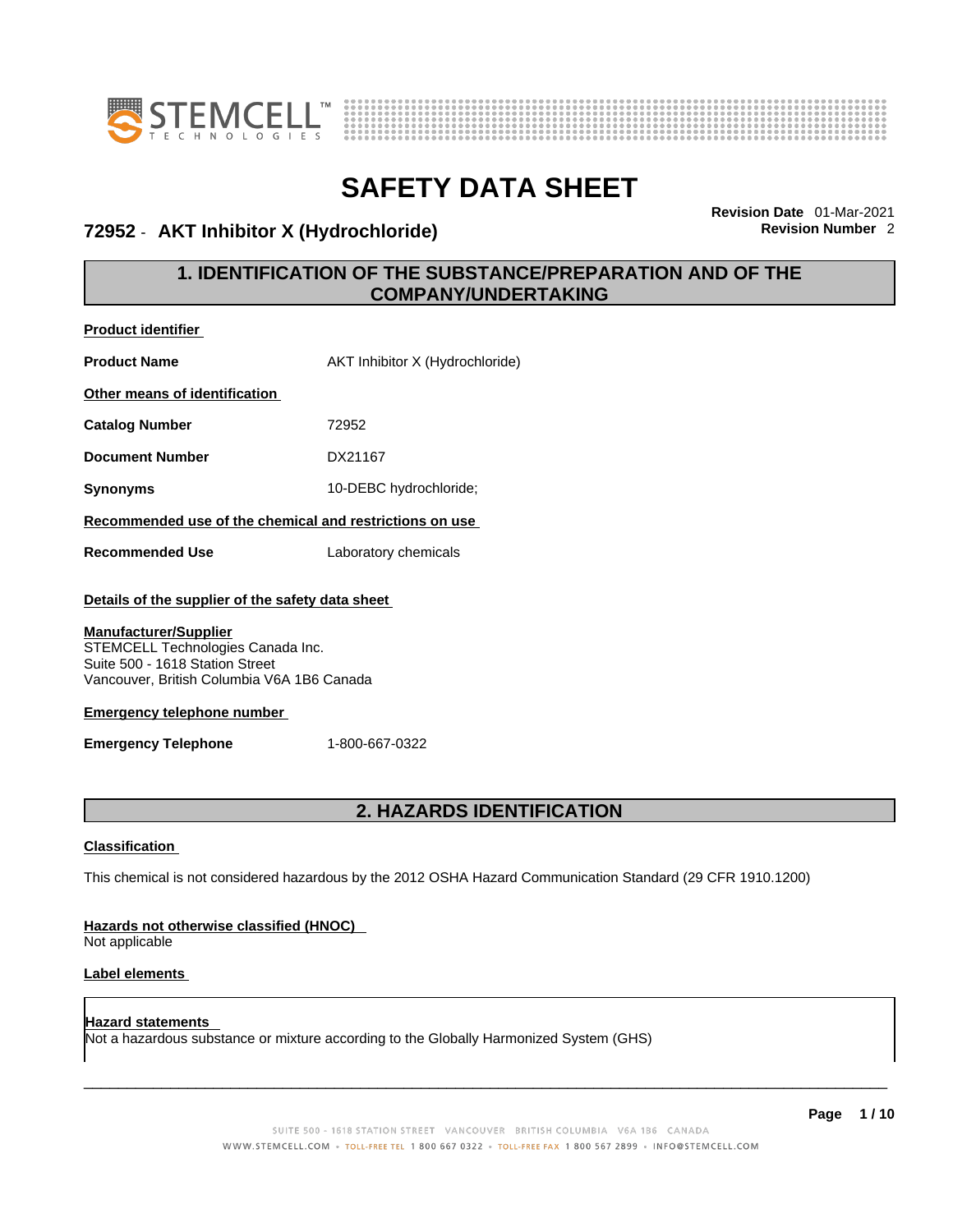



### **72952** - **AKT Inhibitor X (Hydrochloride) Revision Number** 2

**Revision Date** 01-Mar-2021

### **1. IDENTIFICATION OF THE SUBSTANCE/PREPARATION AND OF THE COMPANY/UNDERTAKING**

| <b>Product identifier</b>                                                                                                                                                                                                                                                 |                                                                                                             |  |  |
|---------------------------------------------------------------------------------------------------------------------------------------------------------------------------------------------------------------------------------------------------------------------------|-------------------------------------------------------------------------------------------------------------|--|--|
| <b>Product Name</b>                                                                                                                                                                                                                                                       | AKT Inhibitor X (Hydrochloride)                                                                             |  |  |
| Other means of identification                                                                                                                                                                                                                                             |                                                                                                             |  |  |
| <b>Catalog Number</b>                                                                                                                                                                                                                                                     | 72952                                                                                                       |  |  |
| <b>Document Number</b>                                                                                                                                                                                                                                                    | DX21167                                                                                                     |  |  |
| <b>Synonyms</b>                                                                                                                                                                                                                                                           | 10-DEBC hydrochloride;                                                                                      |  |  |
| Recommended use of the chemical and restrictions on use                                                                                                                                                                                                                   |                                                                                                             |  |  |
| <b>Recommended Use</b>                                                                                                                                                                                                                                                    | Laboratory chemicals                                                                                        |  |  |
| Details of the supplier of the safety data sheet<br><b>Manufacturer/Supplier</b><br>STEMCELL Technologies Canada Inc.<br>Suite 500 - 1618 Station Street<br>Vancouver, British Columbia V6A 1B6 Canada<br><b>Emergency telephone number</b><br><b>Emergency Telephone</b> | 1-800-667-0322                                                                                              |  |  |
|                                                                                                                                                                                                                                                                           |                                                                                                             |  |  |
|                                                                                                                                                                                                                                                                           | 2. HAZARDS IDENTIFICATION                                                                                   |  |  |
| <b>Classification</b><br>Hazards not otherwise classified (HNOC)                                                                                                                                                                                                          | This chemical is not considered hazardous by the 2012 OSHA Hazard Communication Standard (29 CFR 1910.1200) |  |  |

Not applicable

#### **Label elements**

**Hazard statements**  Not a hazardous substance or mixture according to the Globally Harmonized System (GHS)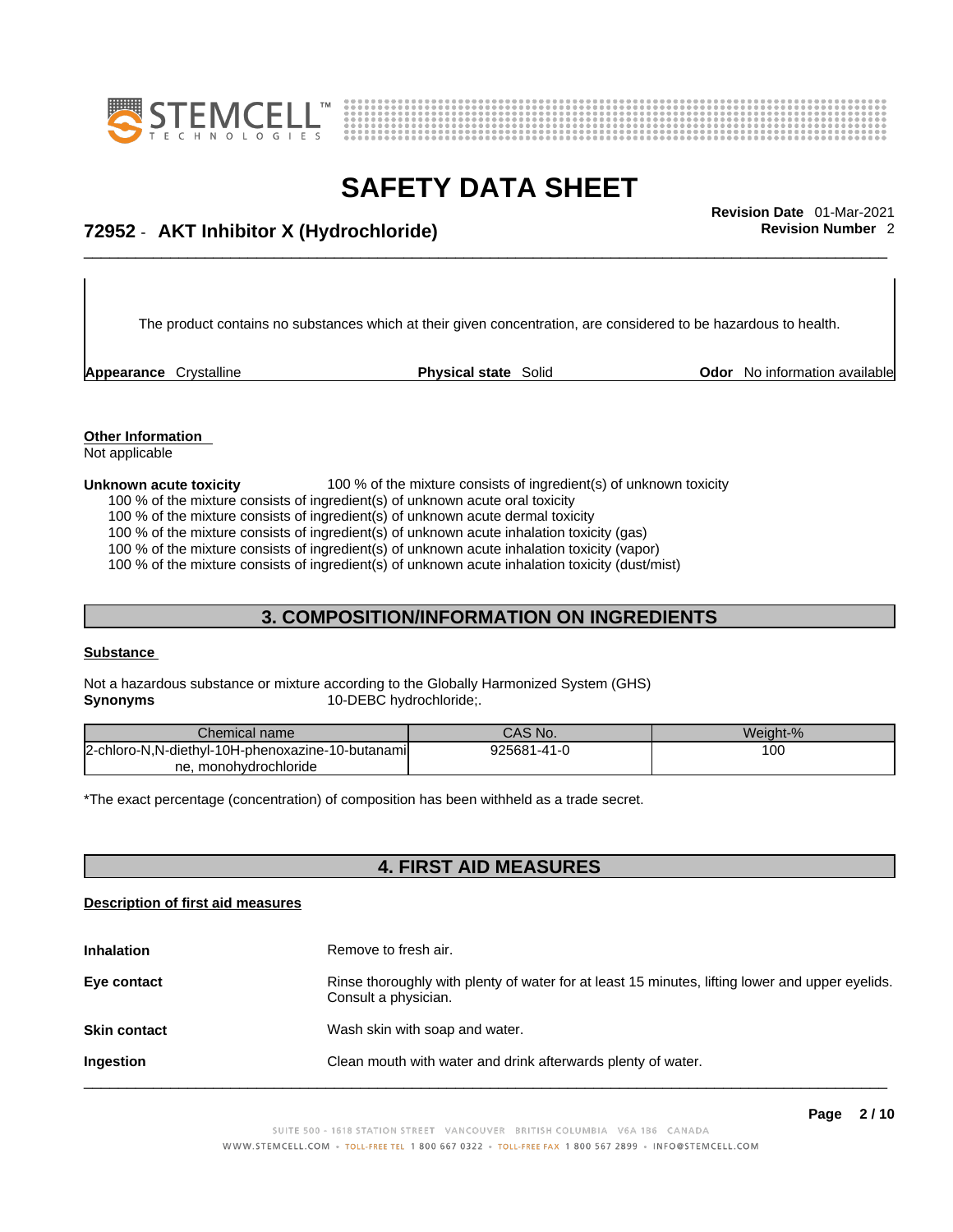



## \_\_\_\_\_\_\_\_\_\_\_\_\_\_\_\_\_\_\_\_\_\_\_\_\_\_\_\_\_\_\_\_\_\_\_\_\_\_\_\_\_\_\_\_\_\_\_\_\_\_\_\_\_\_\_\_\_\_\_\_\_\_\_\_\_\_\_\_\_\_\_\_\_\_\_\_\_\_\_\_\_\_\_\_\_\_\_\_\_\_\_\_\_ **Revision Date** 01-Mar-2021 **72952** - **AKT Inhibitor X (Hydrochloride) Revision Number** 2

The product contains no substances which at their given concentration, are considered to be hazardous to health.

**Appearance** Crystalline **Physical state** Solid **Odor** No information available

**Other Information**  Not applicable

#### **Unknown acute toxicity** 100 % of the mixture consists of ingredient(s) of unknown toxicity

100 % of the mixture consists of ingredient(s) of unknown acute oral toxicity

100 % of the mixture consists of ingredient(s) of unknown acute dermal toxicity

100 % of the mixture consists of ingredient(s) of unknown acute inhalation toxicity (gas)

100 % of the mixture consists of ingredient(s) of unknown acute inhalation toxicity (vapor)

100 % of the mixture consists of ingredient(s) of unknown acute inhalation toxicity (dust/mist)

### **3. COMPOSITION/INFORMATION ON INGREDIENTS**

#### **Substance**

Not a hazardous substance or mixture according to the Globally Harmonized System (GHS) **Synonyms** 10-DEBC hydrochloride;.

| Chemical name                                           | CAS No.     | Weight-% |
|---------------------------------------------------------|-------------|----------|
| -diethyl-10H-phenoxazine-10-butanamil<br>2-chloro-N.N-c | 925681-41-0 | 100      |
| monohydrochloride<br>ne.1                               |             |          |

\*The exact percentage (concentration) of composition has been withheld as a trade secret.

### **4. FIRST AID MEASURES**

#### **Description of first aid measures**

| <b>Inhalation</b>   | Remove to fresh air.                                                                                                    |
|---------------------|-------------------------------------------------------------------------------------------------------------------------|
| Eye contact         | Rinse thoroughly with plenty of water for at least 15 minutes, lifting lower and upper eyelids.<br>Consult a physician. |
| <b>Skin contact</b> | Wash skin with soap and water.                                                                                          |
| Ingestion           | Clean mouth with water and drink afterwards plenty of water.                                                            |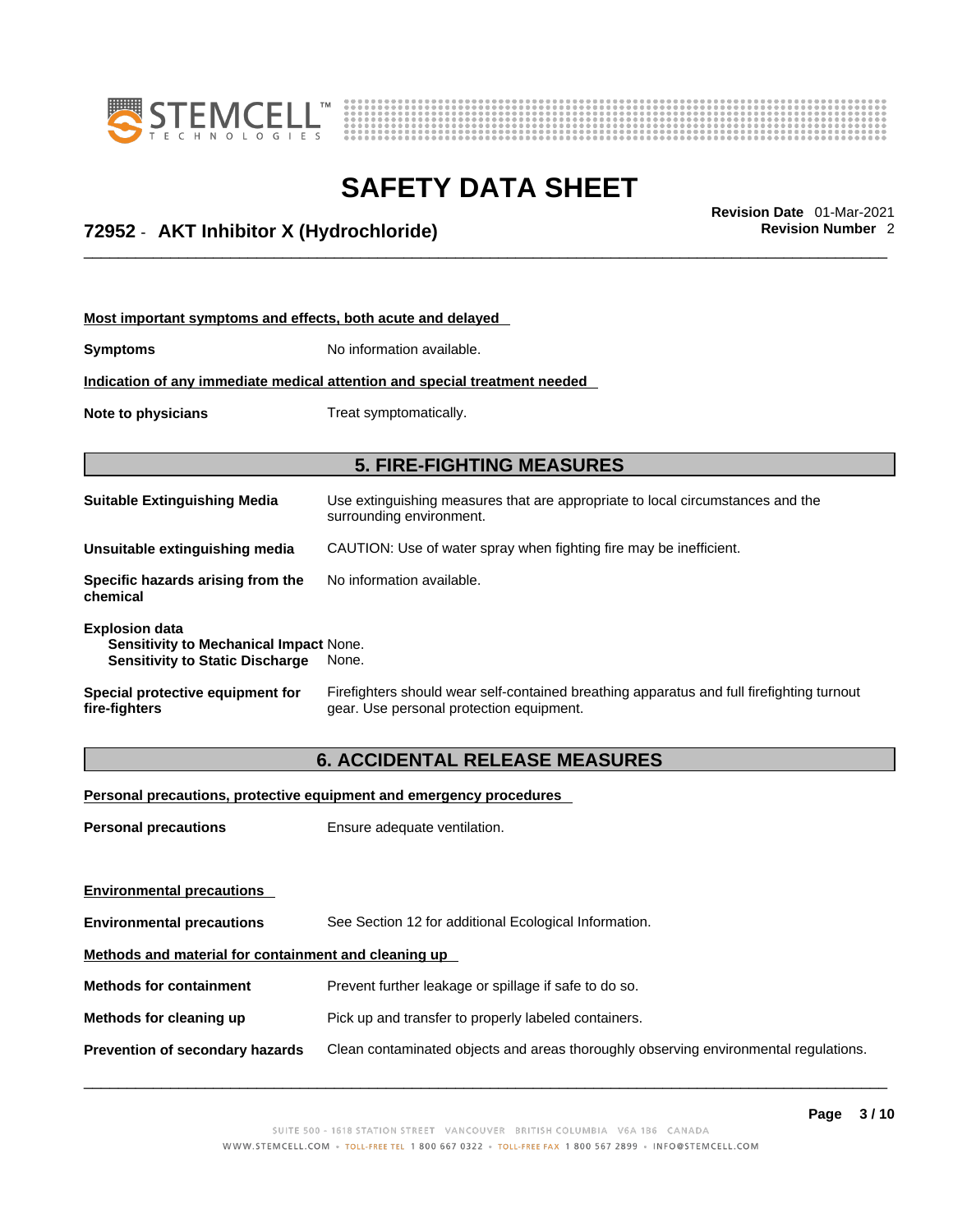



\_\_\_\_\_\_\_\_\_\_\_\_\_\_\_\_\_\_\_\_\_\_\_\_\_\_\_\_\_\_\_\_\_\_\_\_\_\_\_\_\_\_\_\_\_\_\_\_\_\_\_\_\_\_\_\_\_\_\_\_\_\_\_\_\_\_\_\_\_\_\_\_\_\_\_\_\_\_\_\_\_\_\_\_\_\_\_\_\_\_\_\_\_ **Revision Date** 01-Mar-2021 **72952** - **AKT Inhibitor X (Hydrochloride) Revision Number** 2

| Most important symptoms and effects, both acute and delayed |  |
|-------------------------------------------------------------|--|
|-------------------------------------------------------------|--|

**Symptoms** No information available.

**Indication of any immediate medical attention and special treatment needed**

**Note to physicians** Treat symptomatically.

#### **5. FIRE-FIGHTING MEASURES**

**Suitable Extinguishing Media** Use extinguishing measures that are appropriate to local circumstances and the surrounding environment. **Unsuitable extinguishing media** CAUTION: Use of water spray when fighting fire may be inefficient. **Specific hazards arising from the chemical** No information available. **Explosion data Sensitivity to Mechanical Impact** None. **Sensitivity to Static Discharge** None.

**Special protective equipment for fire-fighters**

Firefighters should wear self-contained breathing apparatus and full firefighting turnout gear. Use personal protection equipment.

#### **6. ACCIDENTAL RELEASE MEASURES**

**Personal precautions, protective equipment and emergency procedures**

**Personal precautions** Ensure adequate ventilation.

**Environmental precautions Environmental precautions** See Section 12 for additional Ecological Information. **Methods and material for containment and cleaning up Methods for containment** Prevent further leakage or spillage if safe to do so. **Methods for cleaning up** Pick up and transfer to properly labeled containers. **Prevention of secondary hazards** Clean contaminated objects and areas thoroughly observing environmental regulations.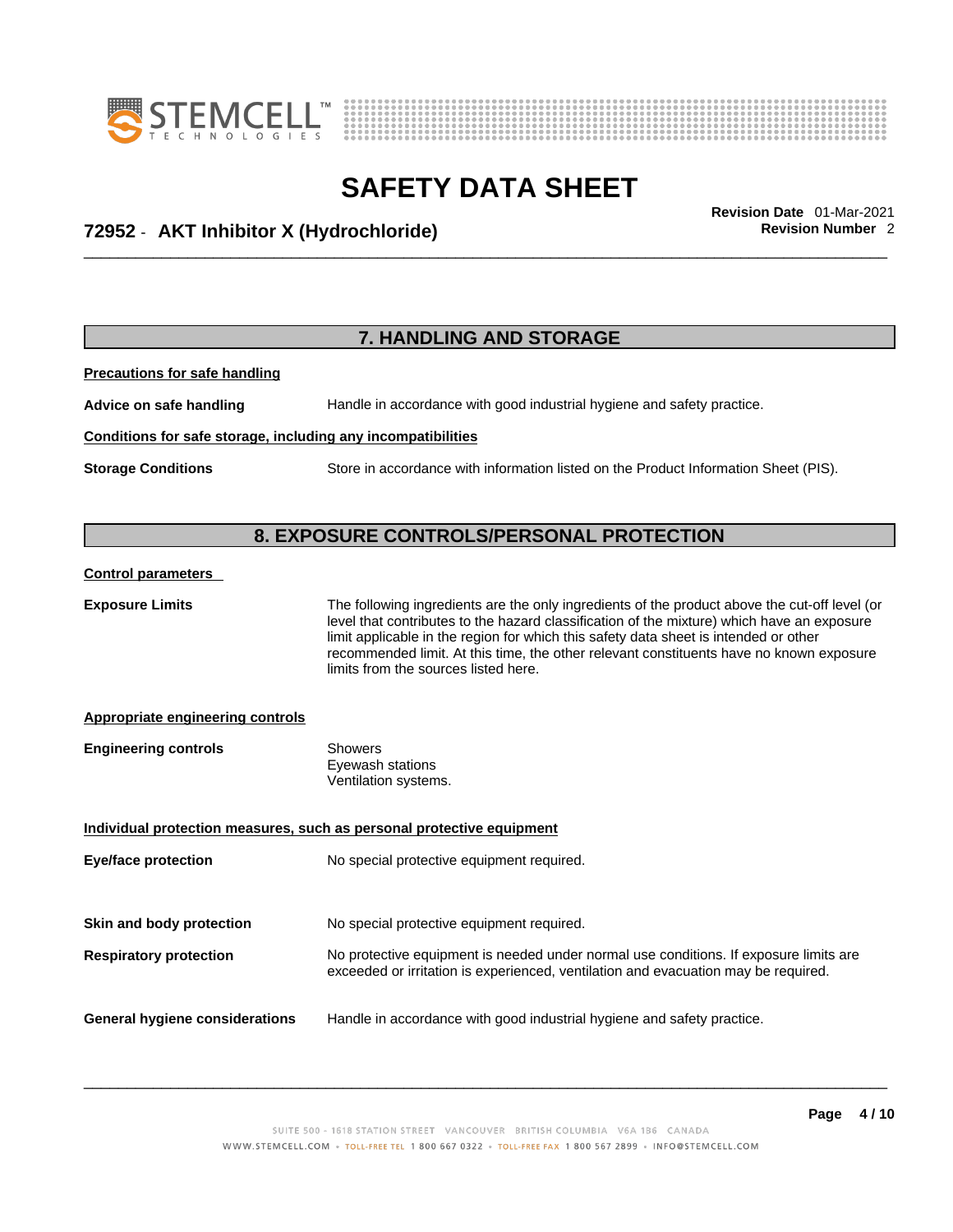



\_\_\_\_\_\_\_\_\_\_\_\_\_\_\_\_\_\_\_\_\_\_\_\_\_\_\_\_\_\_\_\_\_\_\_\_\_\_\_\_\_\_\_\_\_\_\_\_\_\_\_\_\_\_\_\_\_\_\_\_\_\_\_\_\_\_\_\_\_\_\_\_\_\_\_\_\_\_\_\_\_\_\_\_\_\_\_\_\_\_\_\_\_ **Revision Date** 01-Mar-2021 **72952** - **AKT Inhibitor X (Hydrochloride) Revision Number** 2

### **7. HANDLING AND STORAGE**

**Precautions for safe handling**

**Advice on safe handling** Handle in accordance with good industrial hygiene and safety practice.

#### **Conditions for safe storage, including any incompatibilities**

**Storage Conditions** Store in accordance with information listed on the Product Information Sheet (PIS).

### **8. EXPOSURE CONTROLS/PERSONAL PROTECTION**

#### **Control parameters**

**Exposure Limits** The following ingredients are the only ingredients of the product above the cut-off level (or level that contributes to the hazard classification of the mixture) which have an exposure limit applicable in the region for which this safety data sheet is intended or other recommended limit. At this time, the other relevant constituents have no known exposure limits from the sources listed here.

#### **Appropriate engineering controls**

| <b>Engineering controls</b> | Showers              |  |
|-----------------------------|----------------------|--|
|                             | Eyewash stations     |  |
|                             | Ventilation systems. |  |

| Individual protection measures, such as personal protective equipment |                                                                                                                                                                             |  |  |
|-----------------------------------------------------------------------|-----------------------------------------------------------------------------------------------------------------------------------------------------------------------------|--|--|
| <b>Eye/face protection</b>                                            | No special protective equipment required.                                                                                                                                   |  |  |
|                                                                       |                                                                                                                                                                             |  |  |
| Skin and body protection                                              | No special protective equipment required.                                                                                                                                   |  |  |
| <b>Respiratory protection</b>                                         | No protective equipment is needed under normal use conditions. If exposure limits are<br>exceeded or irritation is experienced, ventilation and evacuation may be required. |  |  |
| General hygiene considerations                                        | Handle in accordance with good industrial hygiene and safety practice.                                                                                                      |  |  |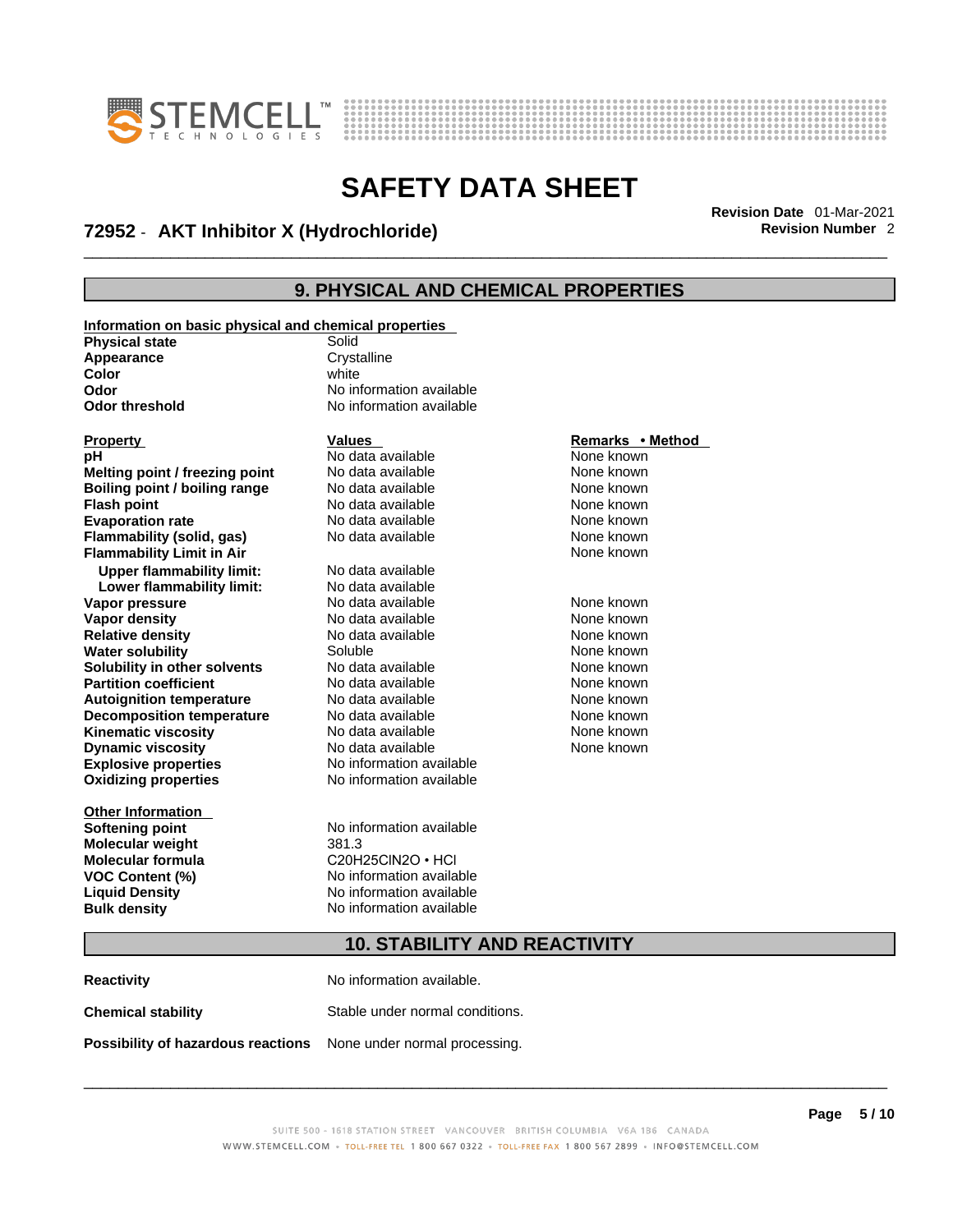



## \_\_\_\_\_\_\_\_\_\_\_\_\_\_\_\_\_\_\_\_\_\_\_\_\_\_\_\_\_\_\_\_\_\_\_\_\_\_\_\_\_\_\_\_\_\_\_\_\_\_\_\_\_\_\_\_\_\_\_\_\_\_\_\_\_\_\_\_\_\_\_\_\_\_\_\_\_\_\_\_\_\_\_\_\_\_\_\_\_\_\_\_\_ **Revision Date** 01-Mar-2021 **72952** - **AKT Inhibitor X (Hydrochloride) Revision Number** 2

## **9. PHYSICAL AND CHEMICAL PROPERTIES**

| Information on basic physical and chemical properties |                          |                  |  |  |
|-------------------------------------------------------|--------------------------|------------------|--|--|
| <b>Physical state</b>                                 | Solid                    |                  |  |  |
| Appearance                                            | Crystalline              |                  |  |  |
| Color                                                 | white                    |                  |  |  |
| Odor                                                  | No information available |                  |  |  |
| <b>Odor threshold</b>                                 | No information available |                  |  |  |
|                                                       |                          |                  |  |  |
| <b>Property</b>                                       | <b>Values</b>            | Remarks • Method |  |  |
| pH                                                    | No data available        | None known       |  |  |
| Melting point / freezing point                        | No data available        | None known       |  |  |
| Boiling point / boiling range                         | No data available        | None known       |  |  |
| <b>Flash point</b>                                    | No data available        | None known       |  |  |
| <b>Evaporation rate</b>                               | No data available        | None known       |  |  |
| Flammability (solid, gas)                             | No data available        | None known       |  |  |
| <b>Flammability Limit in Air</b>                      |                          | None known       |  |  |
| <b>Upper flammability limit:</b>                      | No data available        |                  |  |  |
| Lower flammability limit:                             | No data available        |                  |  |  |
| Vapor pressure                                        | No data available        | None known       |  |  |
| <b>Vapor density</b>                                  | No data available        | None known       |  |  |
| <b>Relative density</b>                               | No data available        | None known       |  |  |
| <b>Water solubility</b>                               | Soluble                  | None known       |  |  |
| Solubility in other solvents                          | No data available        | None known       |  |  |
| <b>Partition coefficient</b>                          | No data available        | None known       |  |  |
| <b>Autoignition temperature</b>                       | No data available        | None known       |  |  |
| <b>Decomposition temperature</b>                      | No data available        | None known       |  |  |
| <b>Kinematic viscosity</b>                            | No data available        | None known       |  |  |
| <b>Dynamic viscosity</b>                              | No data available        | None known       |  |  |
| <b>Explosive properties</b>                           | No information available |                  |  |  |
| <b>Oxidizing properties</b>                           | No information available |                  |  |  |
|                                                       |                          |                  |  |  |
| <b>Other Information</b>                              |                          |                  |  |  |
| <b>Softening point</b>                                | No information available |                  |  |  |
| <b>Molecular weight</b>                               | 381.3                    |                  |  |  |
| <b>Molecular formula</b>                              | $C20H25CIN2O \cdot HCl$  |                  |  |  |
| VOC Content (%)                                       | No information available |                  |  |  |
| <b>Liquid Density</b>                                 | No information available |                  |  |  |
| <b>Bulk density</b>                                   | No information available |                  |  |  |
|                                                       |                          |                  |  |  |
| <b>10. STABILITY AND REACTIVITY</b>                   |                          |                  |  |  |

**Reactivity No information available. Chemical stability** Stable under normal conditions. **Possibility of hazardous reactions** None under normal processing.

#### SUITE 500 - 1618 STATION STREET VANCOUVER BRITISH COLUMBIA V6A 1B6 CANADA WWW.STEMCELL.COM · TOLL-FREE TEL 1 800 667 0322 · TOLL-FREE FAX 1 800 567 2899 · INFO@STEMCELL.COM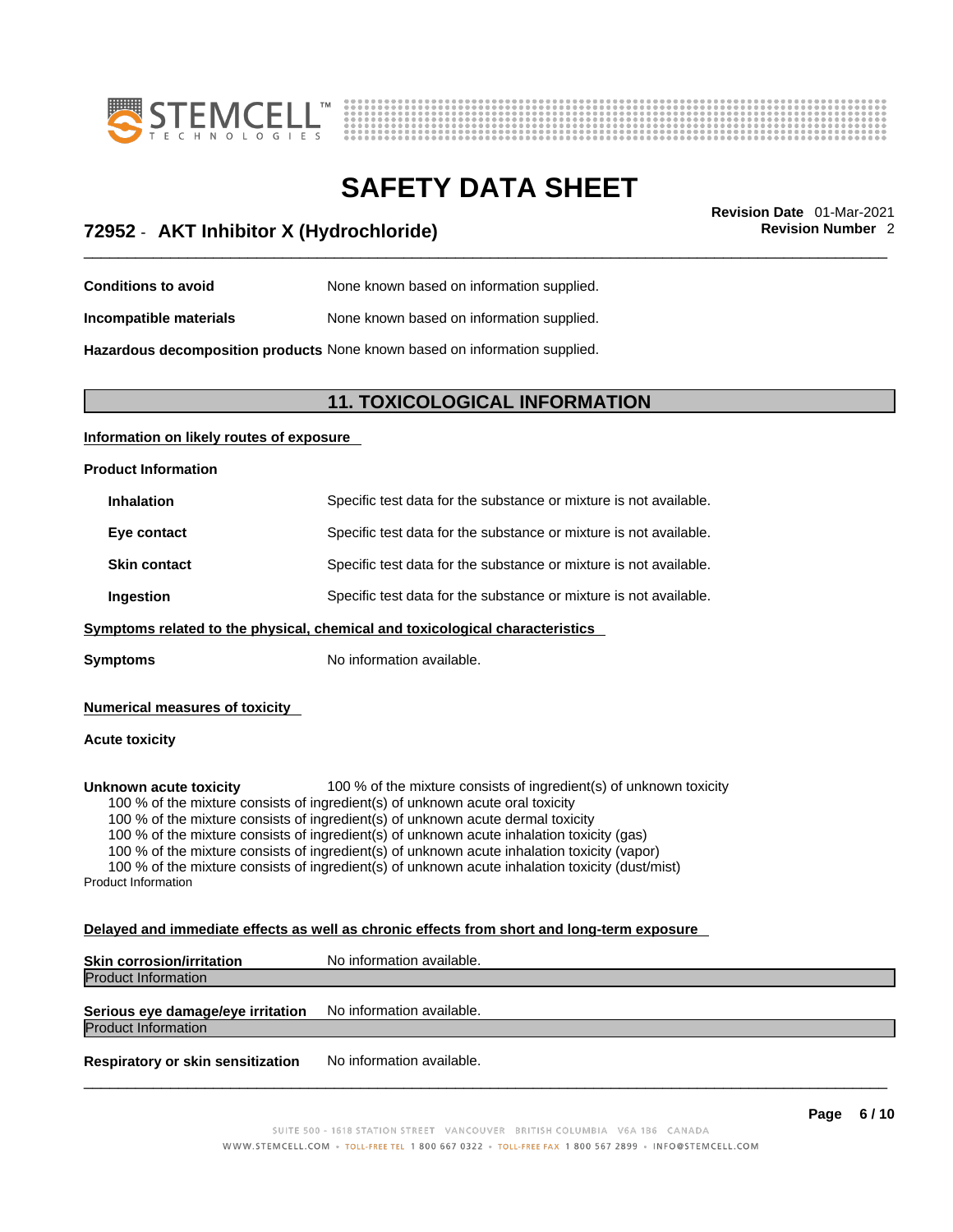



## \_\_\_\_\_\_\_\_\_\_\_\_\_\_\_\_\_\_\_\_\_\_\_\_\_\_\_\_\_\_\_\_\_\_\_\_\_\_\_\_\_\_\_\_\_\_\_\_\_\_\_\_\_\_\_\_\_\_\_\_\_\_\_\_\_\_\_\_\_\_\_\_\_\_\_\_\_\_\_\_\_\_\_\_\_\_\_\_\_\_\_\_\_ **Revision Date** 01-Mar-2021 **72952** - **AKT Inhibitor X (Hydrochloride) Revision Number** 2

- **Conditions to avoid** None known based on information supplied.
- **Incompatible materials** None known based on information supplied.

**Hazardous decomposition products** None known based on information supplied.

### **11. TOXICOLOGICAL INFORMATION**

#### **Information on likely routes of exposure**

#### **Product Information**

| <b>Inhalation</b>   | Specific test data for the substance or mixture is not available. |
|---------------------|-------------------------------------------------------------------|
| Eye contact         | Specific test data for the substance or mixture is not available. |
| <b>Skin contact</b> | Specific test data for the substance or mixture is not available. |
| Ingestion           | Specific test data for the substance or mixture is not available. |
|                     |                                                                   |

#### **<u>Symptoms related to the physical, chemical and toxicological characteristics</u>**

**Symptoms** No information available.

#### **Numerical measures of toxicity**

#### **Acute toxicity**

**Unknown acute toxicity** 100 % of the mixture consists of ingredient(s) of unknown toxicity

100 % of the mixture consists of ingredient(s) of unknown acute oral toxicity

100 % of the mixture consists of ingredient(s) of unknown acute dermal toxicity

100 % of the mixture consists of ingredient(s) of unknown acute inhalation toxicity (gas)

100 % of the mixture consists of ingredient(s) of unknown acute inhalation toxicity (vapor)

100 % of the mixture consists of ingredient(s) of unknown acute inhalation toxicity (dust/mist) Product Information

#### **Delayed and immediate effects as well as chronic effects from short and long-term exposure**

| <b>Skin corrosion/irritation</b>  | No information available. |
|-----------------------------------|---------------------------|
| <b>Product Information</b>        |                           |
| Serious eye damage/eye irritation | No information available. |
| <b>Product Information</b>        |                           |
|                                   |                           |

**Respiratory or skin sensitization** No information available.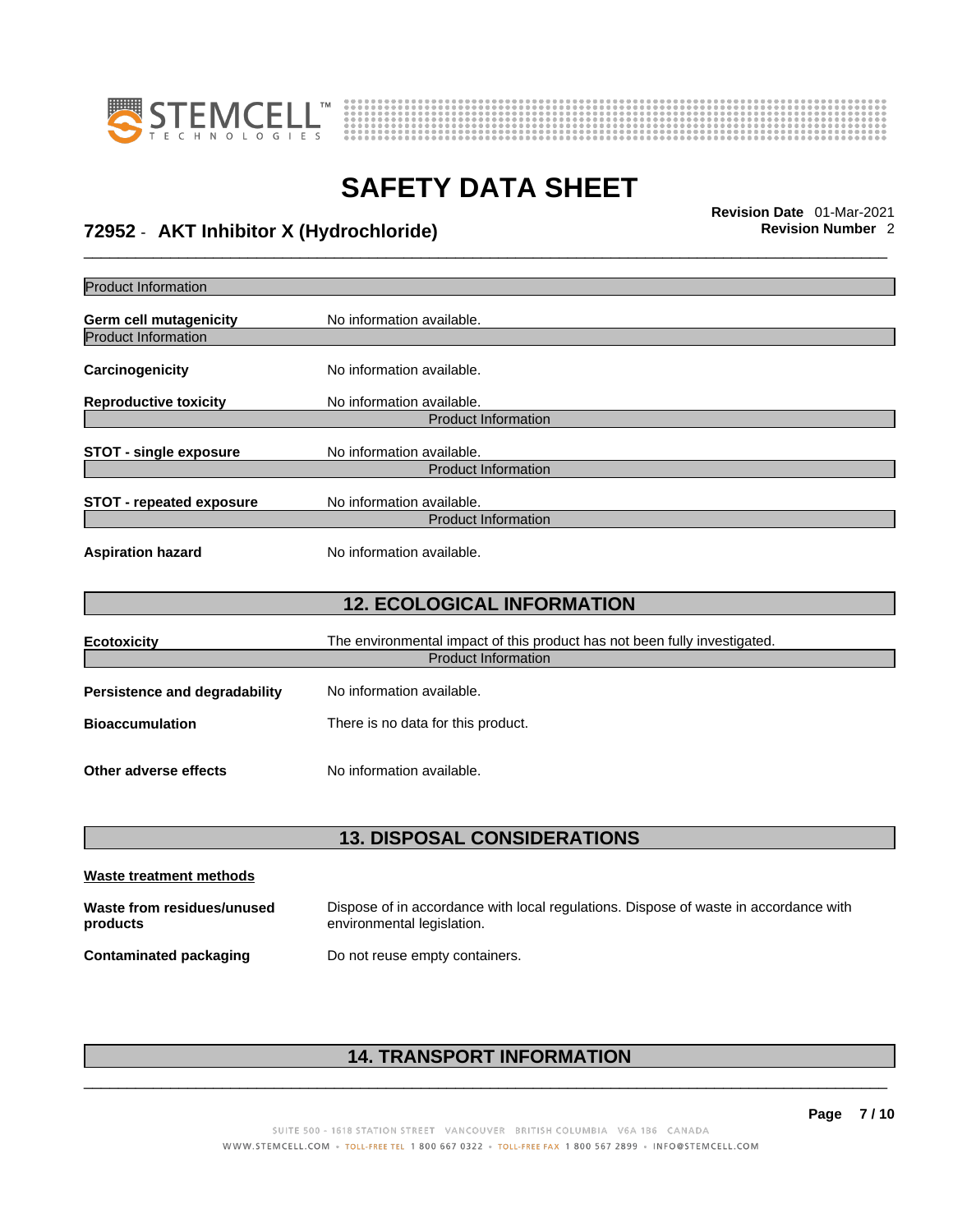



## \_\_\_\_\_\_\_\_\_\_\_\_\_\_\_\_\_\_\_\_\_\_\_\_\_\_\_\_\_\_\_\_\_\_\_\_\_\_\_\_\_\_\_\_\_\_\_\_\_\_\_\_\_\_\_\_\_\_\_\_\_\_\_\_\_\_\_\_\_\_\_\_\_\_\_\_\_\_\_\_\_\_\_\_\_\_\_\_\_\_\_\_\_ **Revision Date** 01-Mar-2021 **72952** - **AKT Inhibitor X (Hydrochloride) Revision Number** 2

| <b>Product Information</b>                                  |                                                                                                         |
|-------------------------------------------------------------|---------------------------------------------------------------------------------------------------------|
|                                                             |                                                                                                         |
| <b>Germ cell mutagenicity</b><br><b>Product Information</b> | No information available.                                                                               |
|                                                             |                                                                                                         |
| Carcinogenicity                                             | No information available.                                                                               |
| <b>Reproductive toxicity</b>                                | No information available.                                                                               |
|                                                             | <b>Product Information</b>                                                                              |
| <b>STOT - single exposure</b>                               | No information available.                                                                               |
|                                                             | <b>Product Information</b>                                                                              |
| <b>STOT - repeated exposure</b>                             | No information available.                                                                               |
|                                                             | <b>Product Information</b>                                                                              |
| <b>Aspiration hazard</b>                                    | No information available.                                                                               |
|                                                             | <b>12. ECOLOGICAL INFORMATION</b>                                                                       |
| <b>Ecotoxicity</b>                                          | The environmental impact of this product has not been fully investigated.<br><b>Product Information</b> |
| <b>Persistence and degradability</b>                        | No information available.                                                                               |
| <b>Bioaccumulation</b>                                      | There is no data for this product.                                                                      |
| Other adverse effects                                       | No information available.                                                                               |

## **13. DISPOSAL CONSIDERATIONS**

| Waste treatment methods                |                                                                                                                    |
|----------------------------------------|--------------------------------------------------------------------------------------------------------------------|
| Waste from residues/unused<br>products | Dispose of in accordance with local regulations. Dispose of waste in accordance with<br>environmental legislation. |
| Contaminated packaging                 | Do not reuse empty containers.                                                                                     |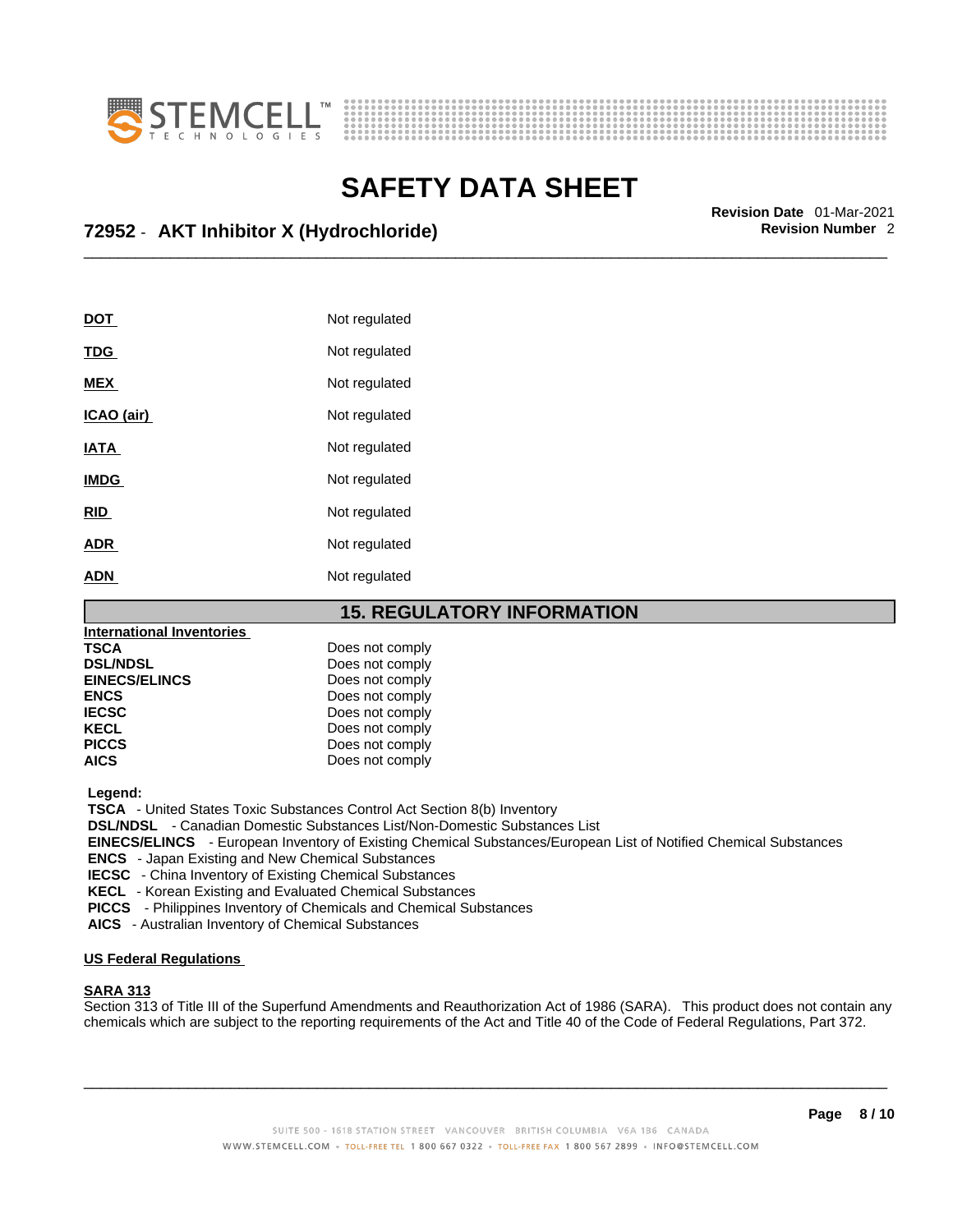



## \_\_\_\_\_\_\_\_\_\_\_\_\_\_\_\_\_\_\_\_\_\_\_\_\_\_\_\_\_\_\_\_\_\_\_\_\_\_\_\_\_\_\_\_\_\_\_\_\_\_\_\_\_\_\_\_\_\_\_\_\_\_\_\_\_\_\_\_\_\_\_\_\_\_\_\_\_\_\_\_\_\_\_\_\_\_\_\_\_\_\_\_\_ **Revision Date** 01-Mar-2021 **72952** - **AKT Inhibitor X (Hydrochloride) Revision Number** 2

| <b>DOT</b>  | Not regulated |
|-------------|---------------|
| <b>TDG</b>  | Not regulated |
| <b>MEX</b>  | Not regulated |
| ICAO (air)  | Not regulated |
| IATA        | Not regulated |
| <b>IMDG</b> | Not regulated |
| <b>RID</b>  | Not regulated |
| <b>ADR</b>  | Not regulated |
| <b>ADN</b>  | Not regulated |

#### **15. REGULATORY INFORMATION**

| <b>International Inventories</b> |                 |
|----------------------------------|-----------------|
| TSCA                             | Does not comply |
| <b>DSL/NDSL</b>                  | Does not comply |
| <b>EINECS/ELINCS</b>             | Does not comply |
| <b>ENCS</b>                      | Does not comply |
| <b>IECSC</b>                     | Does not comply |
| <b>KECL</b>                      | Does not comply |
| <b>PICCS</b>                     | Does not comply |
| <b>AICS</b>                      | Does not comply |

 **Legend:** 

 **TSCA** - United States Toxic Substances Control Act Section 8(b) Inventory

 **DSL/NDSL** - Canadian Domestic Substances List/Non-Domestic Substances List

 **EINECS/ELINCS** - European Inventory of Existing Chemical Substances/European List of Notified Chemical Substances

 **ENCS** - Japan Existing and New Chemical Substances

 **IECSC** - China Inventory of Existing Chemical Substances

 **KECL** - Korean Existing and Evaluated Chemical Substances

 **PICCS** - Philippines Inventory of Chemicals and Chemical Substances

 **AICS** - Australian Inventory of Chemical Substances

#### **US Federal Regulations**

#### **SARA 313**

Section 313 of Title III of the Superfund Amendments and Reauthorization Act of 1986 (SARA). This product does not contain any chemicals which are subject to the reporting requirements of the Act and Title 40 of the Code of Federal Regulations, Part 372.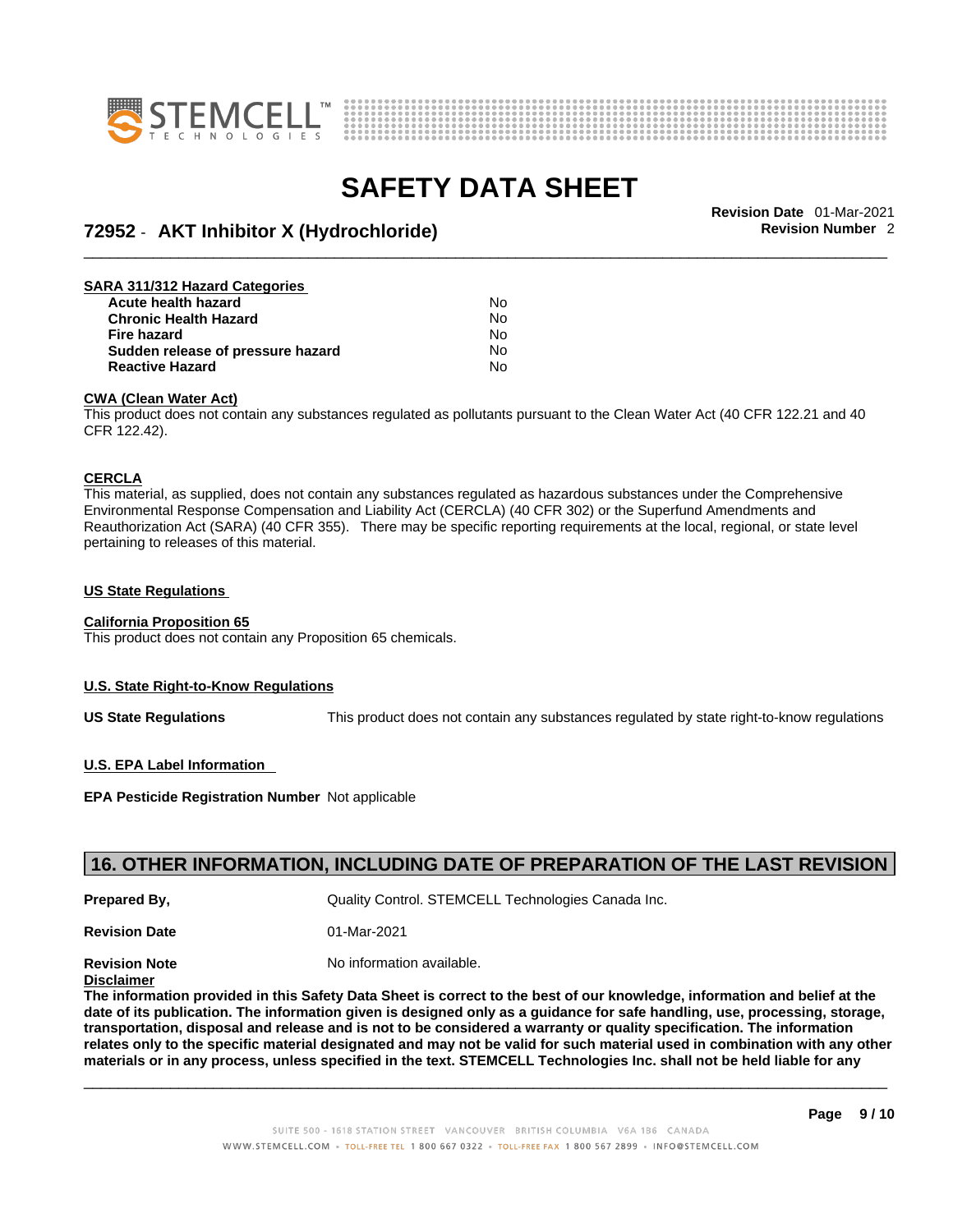



## \_\_\_\_\_\_\_\_\_\_\_\_\_\_\_\_\_\_\_\_\_\_\_\_\_\_\_\_\_\_\_\_\_\_\_\_\_\_\_\_\_\_\_\_\_\_\_\_\_\_\_\_\_\_\_\_\_\_\_\_\_\_\_\_\_\_\_\_\_\_\_\_\_\_\_\_\_\_\_\_\_\_\_\_\_\_\_\_\_\_\_\_\_ **Revision Date** 01-Mar-2021 **72952** - **AKT Inhibitor X (Hydrochloride) Revision Number** 2

| SARA 311/312 Hazard Categories    |    |  |
|-----------------------------------|----|--|
| Acute health hazard               | No |  |
| <b>Chronic Health Hazard</b>      | No |  |
| Fire hazard                       | No |  |
| Sudden release of pressure hazard | No |  |
| <b>Reactive Hazard</b>            | No |  |

#### **CWA (Clean WaterAct)**

This product does not contain any substances regulated as pollutants pursuant to the Clean Water Act (40 CFR 122.21 and 40 CFR 122.42).

#### **CERCLA**

This material, as supplied, does not contain any substances regulated as hazardous substances under the Comprehensive Environmental Response Compensation and Liability Act (CERCLA) (40 CFR 302) or the Superfund Amendments and Reauthorization Act (SARA) (40 CFR 355). There may be specific reporting requirements at the local, regional, or state level pertaining to releases of this material.

#### **US State Regulations**

#### **California Proposition 65**

This product does not contain any Proposition 65 chemicals.

#### **U.S. State Right-to-Know Regulations**

**US State Regulations** This product does not contain any substances regulated by state right-to-know regulations

#### **U.S. EPA Label Information**

**EPA Pesticide Registration Number** Not applicable

### **16. OTHER INFORMATION, INCLUDING DATE OF PREPARATION OF THE LAST REVISION**

**Prepared By, State Control. STEMCELL Technologies Canada Inc.** Canada Inc.

**Revision Date** 01-Mar-2021

**Revision Note** Noinformation available.

#### **Disclaimer**

The information provided in this Safety Data Sheet is correct to the best of our knowledge, information and belief at the date of its publication. The information given is designed only as a guidance for safe handling, use, processing, storage, transportation, disposal and release and is not to be considered a warranty or quality specification. The information relates only to the specific material designated and may not be valid for such material used in combination with any other materials or in any process, unless specified in the text. STEMCELL Technologies Inc. shall not be held liable for any